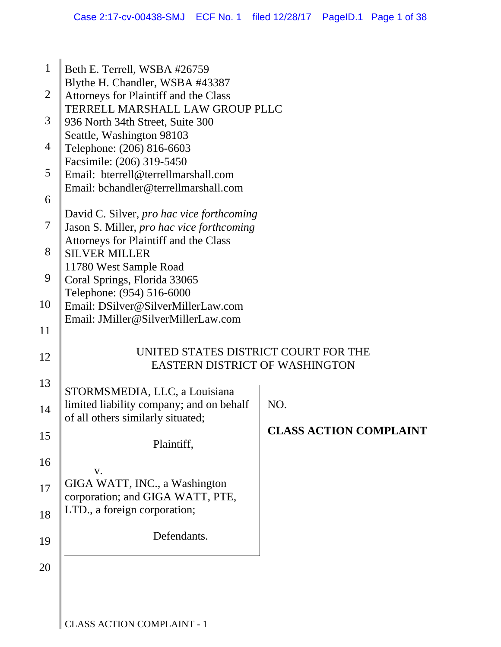| 1              | Beth E. Terrell, WSBA #26759                                                                                                    |                               |
|----------------|---------------------------------------------------------------------------------------------------------------------------------|-------------------------------|
| $\overline{2}$ | Blythe H. Chandler, WSBA #43387<br>Attorneys for Plaintiff and the Class                                                        |                               |
| 3              | TERRELL MARSHALL LAW GROUP PLLC<br>936 North 34th Street, Suite 300                                                             |                               |
| $\overline{4}$ | Seattle, Washington 98103<br>Telephone: (206) 816-6603                                                                          |                               |
| 5              | Facsimile: (206) 319-5450<br>Email: bterrell@terrellmarshall.com                                                                |                               |
| 6              | Email: bchandler@terrellmarshall.com                                                                                            |                               |
| $\overline{7}$ | David C. Silver, pro hac vice forthcoming<br>Jason S. Miller, pro hac vice forthcoming<br>Attorneys for Plaintiff and the Class |                               |
| 8              | <b>SILVER MILLER</b>                                                                                                            |                               |
| 9              | 11780 West Sample Road<br>Coral Springs, Florida 33065<br>Telephone: (954) 516-6000                                             |                               |
| 10             | Email: DSilver@SilverMillerLaw.com<br>Email: JMiller@SilverMillerLaw.com                                                        |                               |
| 11             |                                                                                                                                 |                               |
| 12             | UNITED STATES DISTRICT COURT FOR THE<br><b>EASTERN DISTRICT OF WASHINGTON</b>                                                   |                               |
| 13             | STORMSMEDIA, LLC, a Louisiana                                                                                                   |                               |
| 14             | limited liability company; and on behalf<br>of all others similarly situated;                                                   | NO.                           |
| 15             | Plaintiff,                                                                                                                      | <b>CLASS ACTION COMPLAINT</b> |
| 16             | V.                                                                                                                              |                               |
| 17             | GIGA WATT, INC., a Washington<br>corporation; and GIGA WATT, PTE,                                                               |                               |
| 18             | LTD., a foreign corporation;                                                                                                    |                               |
| 19             | Defendants.                                                                                                                     |                               |
| 20             |                                                                                                                                 |                               |
|                |                                                                                                                                 |                               |
|                |                                                                                                                                 |                               |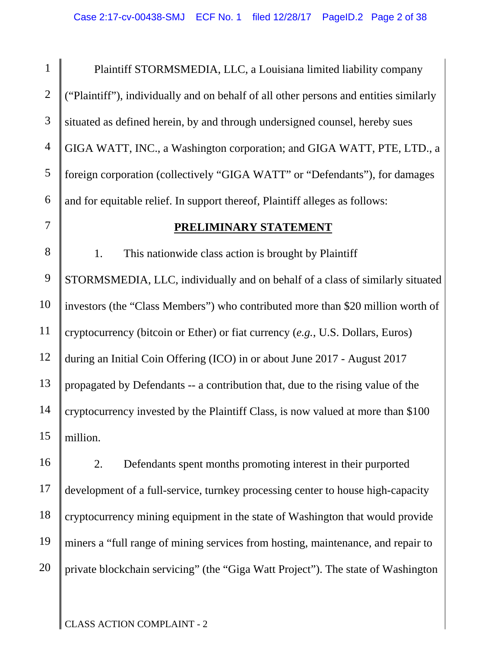1 2 3 4 5 6 Plaintiff STORMSMEDIA, LLC, a Louisiana limited liability company ("Plaintiff"), individually and on behalf of all other persons and entities similarly situated as defined herein, by and through undersigned counsel, hereby sues GIGA WATT, INC., a Washington corporation; and GIGA WATT, PTE, LTD., a foreign corporation (collectively "GIGA WATT" or "Defendants"), for damages and for equitable relief. In support thereof, Plaintiff alleges as follows:

#### **PRELIMINARY STATEMENT**

8 9 10 11 12 13 14 15 1. This nationwide class action is brought by Plaintiff STORMSMEDIA, LLC, individually and on behalf of a class of similarly situated investors (the "Class Members") who contributed more than \$20 million worth of cryptocurrency (bitcoin or Ether) or fiat currency (*e.g.*, U.S. Dollars, Euros) during an Initial Coin Offering (ICO) in or about June 2017 - August 2017 propagated by Defendants -- a contribution that, due to the rising value of the cryptocurrency invested by the Plaintiff Class, is now valued at more than \$100 million.

16 17 18 19 20 2. Defendants spent months promoting interest in their purported development of a full-service, turnkey processing center to house high-capacity cryptocurrency mining equipment in the state of Washington that would provide miners a "full range of mining services from hosting, maintenance, and repair to private blockchain servicing" (the "Giga Watt Project"). The state of Washington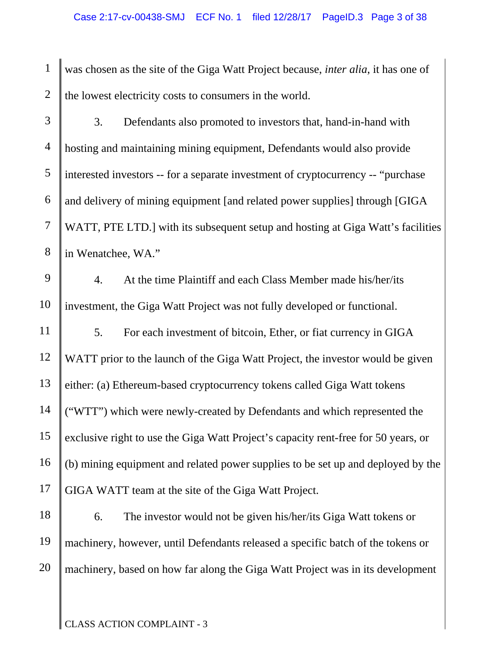1 2 was chosen as the site of the Giga Watt Project because, *inter alia*, it has one of the lowest electricity costs to consumers in the world.

3 4 5 6 7 8 3. Defendants also promoted to investors that, hand-in-hand with hosting and maintaining mining equipment, Defendants would also provide interested investors -- for a separate investment of cryptocurrency -- "purchase and delivery of mining equipment [and related power supplies] through [GIGA WATT, PTE LTD.] with its subsequent setup and hosting at Giga Watt's facilities in Wenatchee, WA."

9 10 4. At the time Plaintiff and each Class Member made his/her/its investment, the Giga Watt Project was not fully developed or functional.

11 12 13 14 15 16 17 5. For each investment of bitcoin, Ether, or fiat currency in GIGA WATT prior to the launch of the Giga Watt Project, the investor would be given either: (a) Ethereum-based cryptocurrency tokens called Giga Watt tokens ("WTT") which were newly-created by Defendants and which represented the exclusive right to use the Giga Watt Project's capacity rent-free for 50 years, or (b) mining equipment and related power supplies to be set up and deployed by the GIGA WATT team at the site of the Giga Watt Project.

18 19 20 6. The investor would not be given his/her/its Giga Watt tokens or machinery, however, until Defendants released a specific batch of the tokens or machinery, based on how far along the Giga Watt Project was in its development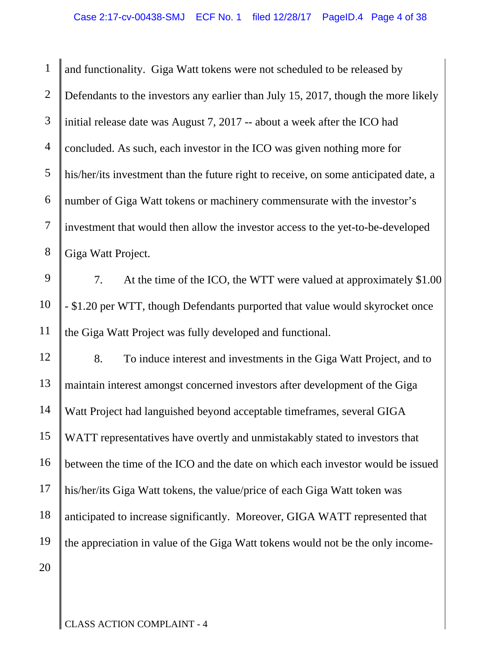1 2 3 4 5 6 7 8 9 10 11 12 13 14 15 16 17 18 19 20 and functionality. Giga Watt tokens were not scheduled to be released by Defendants to the investors any earlier than July 15, 2017, though the more likely initial release date was August 7, 2017 -- about a week after the ICO had concluded. As such, each investor in the ICO was given nothing more for his/her/its investment than the future right to receive, on some anticipated date, a number of Giga Watt tokens or machinery commensurate with the investor's investment that would then allow the investor access to the yet-to-be-developed Giga Watt Project. 7. At the time of the ICO, the WTT were valued at approximately \$1.00 - \$1.20 per WTT, though Defendants purported that value would skyrocket once the Giga Watt Project was fully developed and functional. 8. To induce interest and investments in the Giga Watt Project, and to maintain interest amongst concerned investors after development of the Giga Watt Project had languished beyond acceptable timeframes, several GIGA WATT representatives have overtly and unmistakably stated to investors that between the time of the ICO and the date on which each investor would be issued his/her/its Giga Watt tokens, the value/price of each Giga Watt token was anticipated to increase significantly. Moreover, GIGA WATT represented that the appreciation in value of the Giga Watt tokens would not be the only income-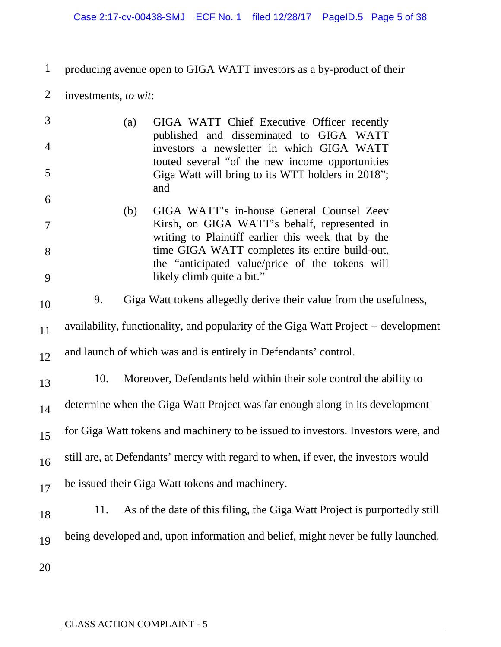| $\mathbf{1}$   | producing avenue open to GIGA WATT investors as a by-product of their                                |  |
|----------------|------------------------------------------------------------------------------------------------------|--|
| $\overline{2}$ | investments, to wit:                                                                                 |  |
| 3              | GIGA WATT Chief Executive Officer recently<br>(a)                                                    |  |
| 4              | published and disseminated to GIGA WATT<br>investors a newsletter in which GIGA WATT                 |  |
| 5              | touted several "of the new income opportunities<br>Giga Watt will bring to its WTT holders in 2018"; |  |
| 6              | and<br>(b)<br>GIGA WATT's in-house General Counsel Zeev                                              |  |
| $\overline{7}$ | Kirsh, on GIGA WATT's behalf, represented in<br>writing to Plaintiff earlier this week that by the   |  |
| 8              | time GIGA WATT completes its entire build-out,<br>the "anticipated value/price of the tokens will    |  |
| 9              | likely climb quite a bit."                                                                           |  |
| 10             | 9.<br>Giga Watt tokens allegedly derive their value from the usefulness,                             |  |
| 11             | availability, functionality, and popularity of the Giga Watt Project -- development                  |  |
| 12             | and launch of which was and is entirely in Defendants' control.                                      |  |
| 13             | 10.<br>Moreover, Defendants held within their sole control the ability to                            |  |
| 14             | determine when the Giga Watt Project was far enough along in its development                         |  |
| 15             | for Giga Watt tokens and machinery to be issued to investors. Investors were, and                    |  |
| 16             | still are, at Defendants' mercy with regard to when, if ever, the investors would                    |  |
| 17             | be issued their Giga Watt tokens and machinery.                                                      |  |
| 18             | As of the date of this filing, the Giga Watt Project is purportedly still<br>11.                     |  |
| 19             | being developed and, upon information and belief, might never be fully launched.                     |  |
| 20             |                                                                                                      |  |
|                |                                                                                                      |  |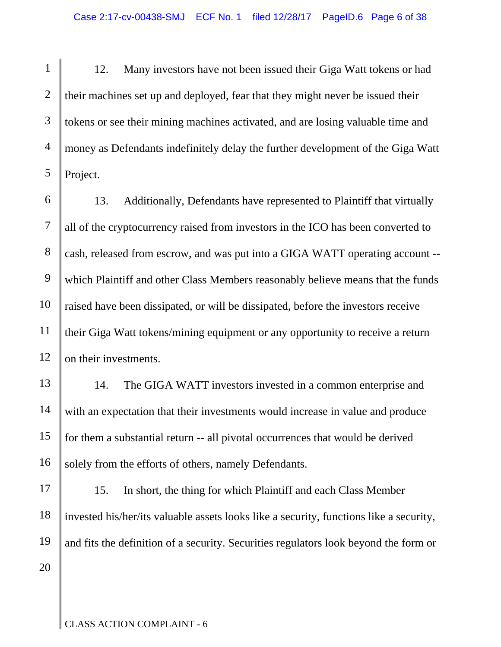1 2 3 4 5 12. Many investors have not been issued their Giga Watt tokens or had their machines set up and deployed, fear that they might never be issued their tokens or see their mining machines activated, and are losing valuable time and money as Defendants indefinitely delay the further development of the Giga Watt Project.

6 7 8 9 10 11 12 13. Additionally, Defendants have represented to Plaintiff that virtually all of the cryptocurrency raised from investors in the ICO has been converted to cash, released from escrow, and was put into a GIGA WATT operating account - which Plaintiff and other Class Members reasonably believe means that the funds raised have been dissipated, or will be dissipated, before the investors receive their Giga Watt tokens/mining equipment or any opportunity to receive a return on their investments.

13 14 15 16 14. The GIGA WATT investors invested in a common enterprise and with an expectation that their investments would increase in value and produce for them a substantial return -- all pivotal occurrences that would be derived solely from the efforts of others, namely Defendants.

17 18 19 20 15. In short, the thing for which Plaintiff and each Class Member invested his/her/its valuable assets looks like a security, functions like a security, and fits the definition of a security. Securities regulators look beyond the form or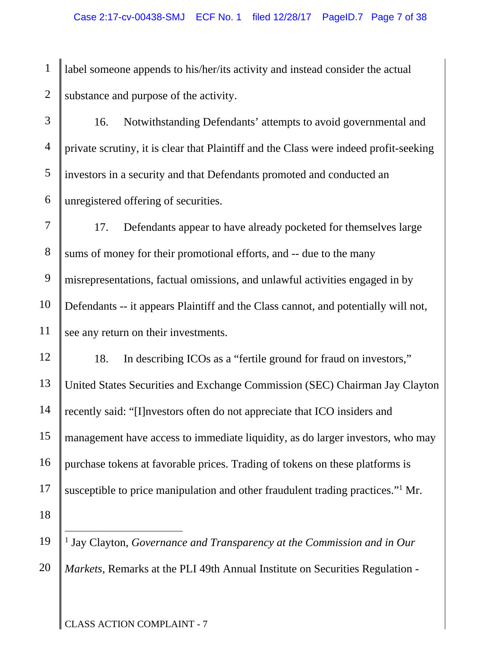1 2 label someone appends to his/her/its activity and instead consider the actual substance and purpose of the activity.

3 4 5 6 16. Notwithstanding Defendants' attempts to avoid governmental and private scrutiny, it is clear that Plaintiff and the Class were indeed profit-seeking investors in a security and that Defendants promoted and conducted an unregistered offering of securities.

7 8 9 10 11 17. Defendants appear to have already pocketed for themselves large sums of money for their promotional efforts, and -- due to the many misrepresentations, factual omissions, and unlawful activities engaged in by Defendants -- it appears Plaintiff and the Class cannot, and potentially will not, see any return on their investments.

12 13 14 15 16 17 18 18. In describing ICOs as a "fertile ground for fraud on investors," United States Securities and Exchange Commission (SEC) Chairman Jay Clayton recently said: "[I]nvestors often do not appreciate that ICO insiders and management have access to immediate liquidity, as do larger investors, who may purchase tokens at favorable prices. Trading of tokens on these platforms is susceptible to price manipulation and other fraudulent trading practices."<sup>1</sup> Mr.

19 20  $\overline{a}$ <sup>1</sup> Jay Clayton, *Governance and Transparency at the Commission and in Our Markets*, Remarks at the PLI 49th Annual Institute on Securities Regulation -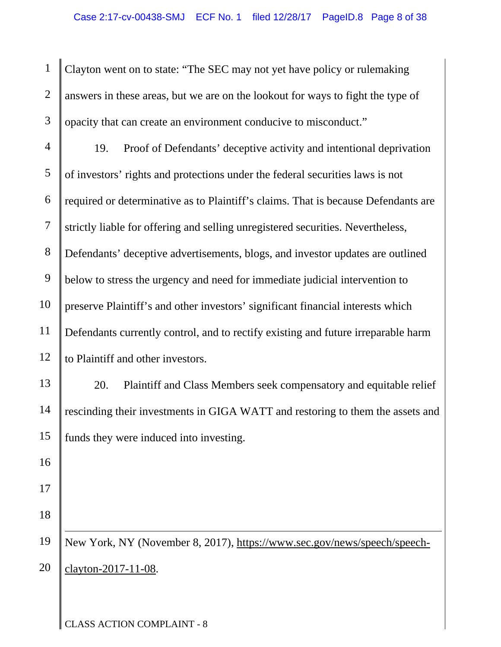1 2 3 Clayton went on to state: "The SEC may not yet have policy or rulemaking answers in these areas, but we are on the lookout for ways to fight the type of opacity that can create an environment conducive to misconduct."

4 5 6 7 8 9 10 11 12 19. Proof of Defendants' deceptive activity and intentional deprivation of investors' rights and protections under the federal securities laws is not required or determinative as to Plaintiff's claims. That is because Defendants are strictly liable for offering and selling unregistered securities. Nevertheless, Defendants' deceptive advertisements, blogs, and investor updates are outlined below to stress the urgency and need for immediate judicial intervention to preserve Plaintiff's and other investors' significant financial interests which Defendants currently control, and to rectify existing and future irreparable harm to Plaintiff and other investors.

13 14 15 20. Plaintiff and Class Members seek compensatory and equitable relief rescinding their investments in GIGA WATT and restoring to them the assets and funds they were induced into investing.

18

 $\overline{a}$ 

17

16

19 20 New York, NY (November 8, 2017), https://www.sec.gov/news/speech/speechclayton-2017-11-08.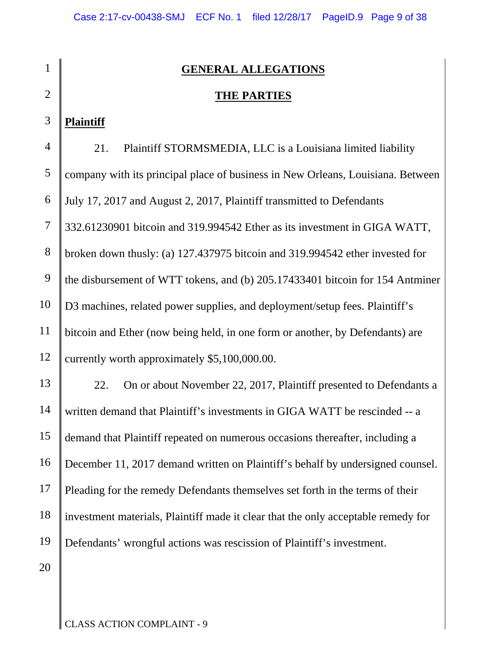| $\mathbf{1}$   | <b>GENERAL ALLEGATIONS</b>                                                        |
|----------------|-----------------------------------------------------------------------------------|
| $\overline{2}$ | <b>THE PARTIES</b>                                                                |
| 3              | <b>Plaintiff</b>                                                                  |
| $\overline{4}$ | Plaintiff STORMSMEDIA, LLC is a Louisiana limited liability<br>21.                |
| 5              | company with its principal place of business in New Orleans, Louisiana. Between   |
| 6              | July 17, 2017 and August 2, 2017, Plaintiff transmitted to Defendants             |
| $\tau$         | 332.61230901 bitcoin and 319.994542 Ether as its investment in GIGA WATT,         |
| 8              | broken down thusly: (a) 127.437975 bitcoin and 319.994542 ether invested for      |
| 9              | the disbursement of WTT tokens, and (b) 205.17433401 bitcoin for 154 Antminer     |
| 10             | D3 machines, related power supplies, and deployment/setup fees. Plaintiff's       |
| 11             | bitcoin and Ether (now being held, in one form or another, by Defendants) are     |
| 12             | currently worth approximately \$5,100,000.00.                                     |
| 13             | On or about November 22, 2017, Plaintiff presented to Defendants a<br>22.         |
| 14             | written demand that Plaintiff's investments in GIGA WATT be rescinded -- a        |
| 15             | demand that Plaintiff repeated on numerous occasions thereafter, including a      |
| 16             | December 11, 2017 demand written on Plaintiff's behalf by undersigned counsel.    |
| 17             | Pleading for the remedy Defendants themselves set forth in the terms of their     |
| 18             | investment materials, Plaintiff made it clear that the only acceptable remedy for |
| 19             | Defendants' wrongful actions was rescission of Plaintiff's investment.            |
| 20             |                                                                                   |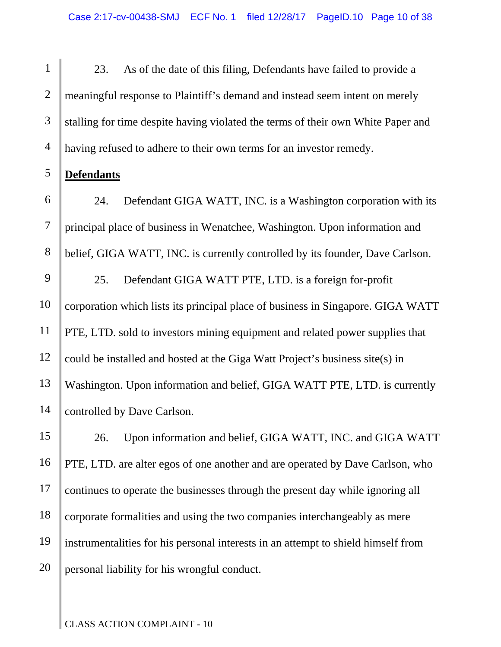1 2 3 4 23. As of the date of this filing, Defendants have failed to provide a meaningful response to Plaintiff's demand and instead seem intent on merely stalling for time despite having violated the terms of their own White Paper and having refused to adhere to their own terms for an investor remedy.

#### 5 **Defendants**

6 7 8 9 10 11 12 13 24. Defendant GIGA WATT, INC. is a Washington corporation with its principal place of business in Wenatchee, Washington. Upon information and belief, GIGA WATT, INC. is currently controlled by its founder, Dave Carlson. 25. Defendant GIGA WATT PTE, LTD. is a foreign for-profit corporation which lists its principal place of business in Singapore. GIGA WATT PTE, LTD. sold to investors mining equipment and related power supplies that could be installed and hosted at the Giga Watt Project's business site(s) in Washington. Upon information and belief, GIGA WATT PTE, LTD. is currently

14 controlled by Dave Carlson.

15 16 17 18 19 20 26. Upon information and belief, GIGA WATT, INC. and GIGA WATT PTE, LTD. are alter egos of one another and are operated by Dave Carlson, who continues to operate the businesses through the present day while ignoring all corporate formalities and using the two companies interchangeably as mere instrumentalities for his personal interests in an attempt to shield himself from personal liability for his wrongful conduct.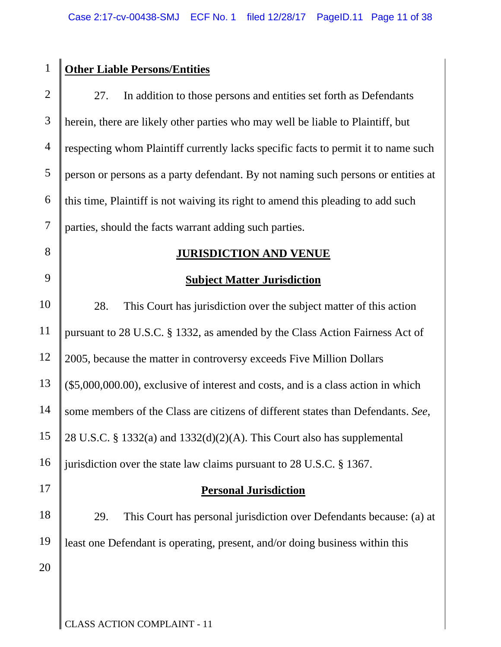| <b>Other Liable Persons/Entities</b>                                               |
|------------------------------------------------------------------------------------|
| 27.<br>In addition to those persons and entities set forth as Defendants           |
| herein, there are likely other parties who may well be liable to Plaintiff, but    |
| respecting whom Plaintiff currently lacks specific facts to permit it to name such |
| person or persons as a party defendant. By not naming such persons or entities at  |
| this time, Plaint if is not waiving its right to amend this pleading to add such   |
| parties, should the facts warrant adding such parties.                             |
| <b>JURISDICTION AND VENUE</b>                                                      |
| <b>Subject Matter Jurisdiction</b>                                                 |
| This Court has jurisdiction over the subject matter of this action<br>28.          |
| pursuant to 28 U.S.C. § 1332, as amended by the Class Action Fairness Act of       |
| 2005, because the matter in controversy exceeds Five Million Dollars               |
| (\$5,000,000.00), exclusive of interest and costs, and is a class action in which  |
| some members of the Class are citizens of different states than Defendants. See,   |
| 28 U.S.C. § 1332(a) and 1332(d)(2)(A). This Court also has supplemental            |
| jurisdiction over the state law claims pursuant to 28 U.S.C. § 1367.               |
| <b>Personal Jurisdiction</b>                                                       |
| This Court has personal jurisdiction over Defendants because: (a) at<br>29.        |
| least one Defendant is operating, present, and/or doing business within this       |
|                                                                                    |
|                                                                                    |
|                                                                                    |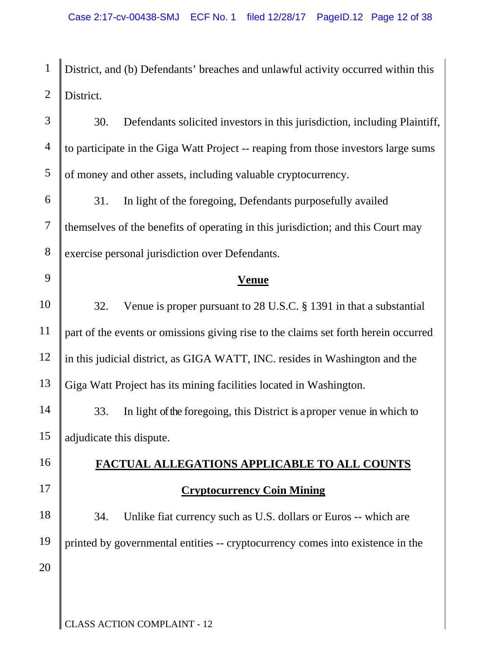1 2 District, and (b) Defendants' breaches and unlawful activity occurred within this District.

3 4 5 30. Defendants solicited investors in this jurisdiction, including Plaintiff, to participate in the Giga Watt Project -- reaping from those investors large sums of money and other assets, including valuable cryptocurrency.

6 7 8 31. In light of the foregoing, Defendants purposefully availed themselves of the benefits of operating in this jurisdiction; and this Court may exercise personal jurisdiction over Defendants.

9

# **Venue**

10 11 12 13 32. Venue is proper pursuant to 28 U.S.C. § 1391 in that a substantial part of the events or omissions giving rise to the claims set forth herein occurred in this judicial district, as GIGA WATT, INC. resides in Washington and the Giga Watt Project has its mining facilities located in Washington.

14 15 33. In light of the foregoing, this District is a proper venue in which to adjudicate this dispute.

16

17

18

19

20

# **FACTUAL ALLEGATIONS APPLICABLE TO ALL COUNTS Cryptocurrency Coin Mining**

34. Unlike fiat currency such as U.S. dollars or Euros -- which are printed by governmental entities -- cryptocurrency comes into existence in the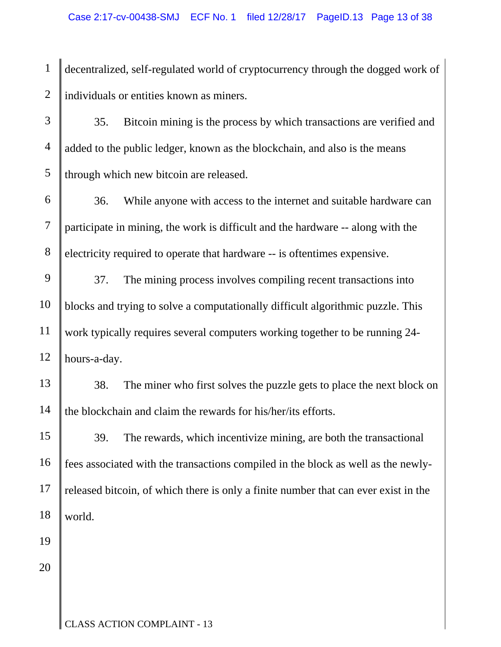1 2 decentralized, self-regulated world of cryptocurrency through the dogged work of individuals or entities known as miners.

3 4 5 35. Bitcoin mining is the process by which transactions are verified and added to the public ledger, known as the blockchain, and also is the means through which new bitcoin are released.

6 7 8 36. While anyone with access to the internet and suitable hardware can participate in mining, the work is difficult and the hardware -- along with the electricity required to operate that hardware -- is oftentimes expensive.

9 10 11 12 37. The mining process involves compiling recent transactions into blocks and trying to solve a computationally difficult algorithmic puzzle. This work typically requires several computers working together to be running 24 hours-a-day.

13 14 38. The miner who first solves the puzzle gets to place the next block on the blockchain and claim the rewards for his/her/its efforts.

15 16 17 18 39. The rewards, which incentivize mining, are both the transactional fees associated with the transactions compiled in the block as well as the newlyreleased bitcoin, of which there is only a finite number that can ever exist in the world.

20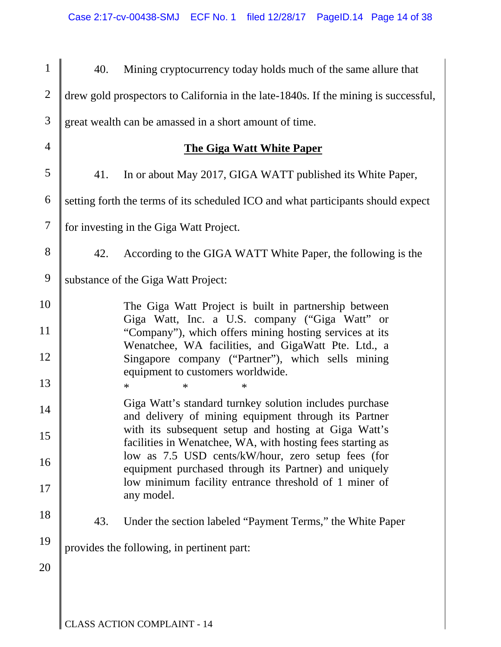| $\mathbf{1}$   | 40. | Mining cryptocurrency today holds much of the same allure that                                                     |
|----------------|-----|--------------------------------------------------------------------------------------------------------------------|
| $\overline{2}$ |     | drew gold prospectors to California in the late-1840s. If the mining is successful,                                |
| 3              |     | great wealth can be amassed in a short amount of time.                                                             |
| $\overline{4}$ |     | <b>The Giga Watt White Paper</b>                                                                                   |
| 5              | 41. | In or about May 2017, GIGA WATT published its White Paper,                                                         |
| 6              |     | setting forth the terms of its scheduled ICO and what participants should expect                                   |
| 7              |     | for investing in the Giga Watt Project.                                                                            |
| 8              | 42. | According to the GIGA WATT White Paper, the following is the                                                       |
| 9              |     | substance of the Giga Watt Project:                                                                                |
| 10             |     | The Giga Watt Project is built in partnership between<br>Giga Watt, Inc. a U.S. company ("Giga Watt" or            |
| 11             |     | "Company"), which offers mining hosting services at its<br>Wenatchee, WA facilities, and GigaWatt Pte. Ltd., a     |
| 12             |     | Singapore company ("Partner"), which sells mining<br>equipment to customers worldwide.                             |
| 13             |     | $\ast$<br>$\ast$<br>$\ast$                                                                                         |
| 14             |     | Giga Watt's standard turnkey solution includes purchase<br>and delivery of mining equipment through its Partner    |
| 15             |     | with its subsequent setup and hosting at Giga Watt's<br>facilities in Wenatchee, WA, with hosting fees starting as |
| 16             |     | low as 7.5 USD cents/kW/hour, zero setup fees (for<br>equipment purchased through its Partner) and uniquely        |
| 17             |     | low minimum facility entrance threshold of 1 miner of<br>any model.                                                |
| 18             | 43. | Under the section labeled "Payment Terms," the White Paper                                                         |
| 19             |     | provides the following, in pertinent part:                                                                         |
| 20             |     |                                                                                                                    |
|                |     |                                                                                                                    |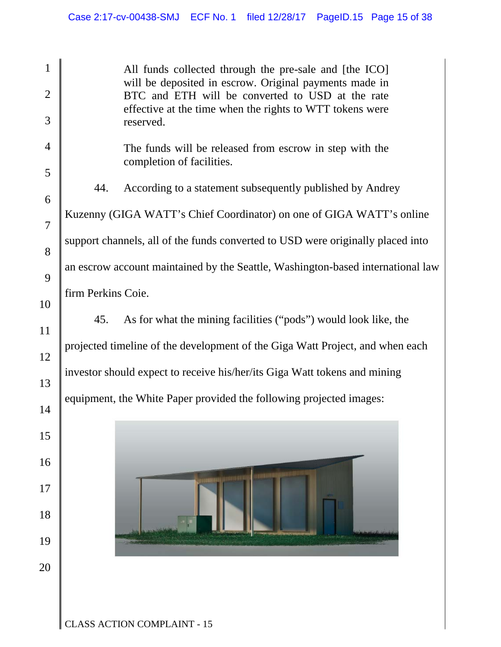1 2 3 4 5 6 7 8 9 10 11 12 13 14 15 16 17 18 19 20 All funds collected through the pre-sale and [the ICO] will be deposited in escrow. Original payments made in BTC and ETH will be converted to USD at the rate effective at the time when the rights to WTT tokens were reserved. The funds will be released from escrow in step with the completion of facilities. 44. According to a statement subsequently published by Andrey Kuzenny (GIGA WATT's Chief Coordinator) on one of GIGA WATT's online support channels, all of the funds converted to USD were originally placed into an escrow account maintained by the Seattle, Washington-based international law firm Perkins Coie. 45. As for what the mining facilities ("pods") would look like, the projected timeline of the development of the Giga Watt Project, and when each investor should expect to receive his/her/its Giga Watt tokens and mining equipment, the White Paper provided the following projected images: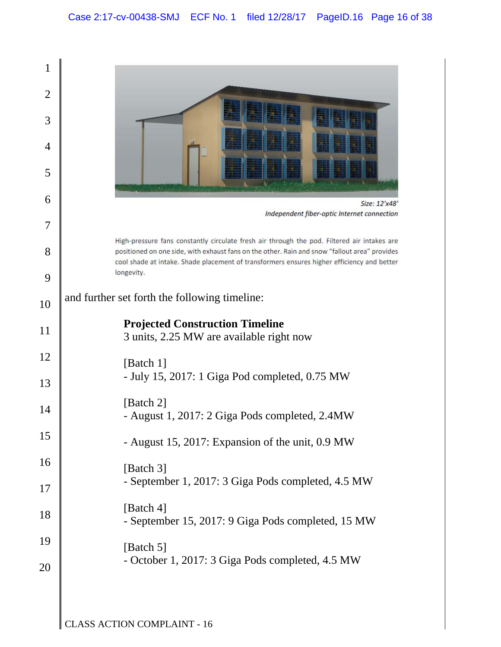| 1              |                                                                                                                                                                                                                                                                                            |
|----------------|--------------------------------------------------------------------------------------------------------------------------------------------------------------------------------------------------------------------------------------------------------------------------------------------|
| $\overline{2}$ |                                                                                                                                                                                                                                                                                            |
| 3              |                                                                                                                                                                                                                                                                                            |
|                |                                                                                                                                                                                                                                                                                            |
| 4              |                                                                                                                                                                                                                                                                                            |
| 5              |                                                                                                                                                                                                                                                                                            |
| 6              | Size: 12'x48'<br>Independent fiber-optic Internet connection                                                                                                                                                                                                                               |
| 7              |                                                                                                                                                                                                                                                                                            |
| 8              | High-pressure fans constantly circulate fresh air through the pod. Filtered air intakes are<br>positioned on one side, with exhaust fans on the other. Rain and snow "fallout area" provides<br>cool shade at intake. Shade placement of transformers ensures higher efficiency and better |
| 9              | longevity.                                                                                                                                                                                                                                                                                 |
| 10             | and further set forth the following timeline:                                                                                                                                                                                                                                              |
| 11             | <b>Projected Construction Timeline</b><br>3 units, 2.25 MW are available right now                                                                                                                                                                                                         |
| 12             | [Batch 1]                                                                                                                                                                                                                                                                                  |
| 13             | - July 15, 2017: 1 Giga Pod completed, 0.75 MW                                                                                                                                                                                                                                             |
| 14             | [Batch 2]<br>- August 1, 2017: 2 Giga Pods completed, 2.4MW                                                                                                                                                                                                                                |
| 15             | - August 15, 2017: Expansion of the unit, 0.9 MW                                                                                                                                                                                                                                           |
| 16             | [Batch 3]                                                                                                                                                                                                                                                                                  |
| 17             | - September 1, 2017: 3 Giga Pods completed, 4.5 MW                                                                                                                                                                                                                                         |
| 18             | [Batch 4]<br>- September 15, 2017: 9 Giga Pods completed, 15 MW                                                                                                                                                                                                                            |
| 19             | [Batch 5]                                                                                                                                                                                                                                                                                  |
| 20             | - October 1, 2017: 3 Giga Pods completed, 4.5 MW                                                                                                                                                                                                                                           |
|                |                                                                                                                                                                                                                                                                                            |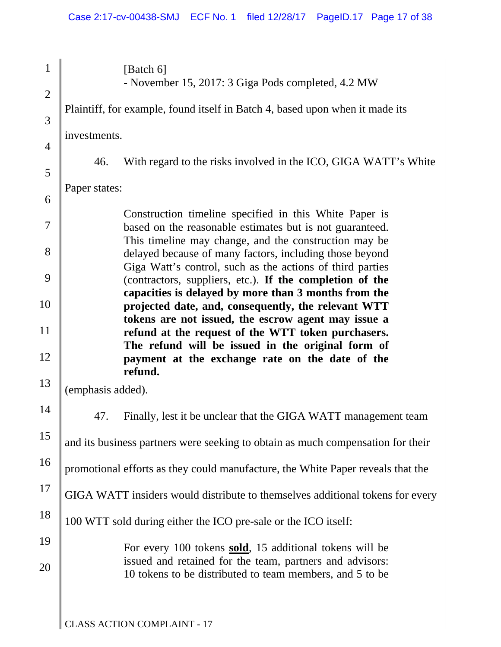| $\mathbf{1}$   | [Batch 6]<br>- November 15, 2017: 3 Giga Pods completed, 4.2 MW                                                                                                               |
|----------------|-------------------------------------------------------------------------------------------------------------------------------------------------------------------------------|
| $\overline{2}$ | Plaintiff, for example, found itself in Batch 4, based upon when it made its                                                                                                  |
| 3              |                                                                                                                                                                               |
| $\overline{4}$ | investments.                                                                                                                                                                  |
| 5              | With regard to the risks involved in the ICO, GIGA WATT's White<br>46.                                                                                                        |
| 6              | Paper states:                                                                                                                                                                 |
| 7              | Construction timeline specified in this White Paper is<br>based on the reasonable estimates but is not guaranteed.                                                            |
| 8              | This timeline may change, and the construction may be<br>delayed because of many factors, including those beyond<br>Giga Watt's control, such as the actions of third parties |
| 9              | (contractors, suppliers, etc.). If the completion of the<br>capacities is delayed by more than 3 months from the                                                              |
| 10             | projected date, and, consequently, the relevant WTT                                                                                                                           |
| 11             | tokens are not issued, the escrow agent may issue a<br>refund at the request of the WTT token purchasers.                                                                     |
| 12             | The refund will be issued in the original form of<br>payment at the exchange rate on the date of the<br>refund.                                                               |
| 13             | (emphasis added).                                                                                                                                                             |
| 14             | Finally, lest it be unclear that the GIGA WATT management team<br>47.                                                                                                         |
| 15             | and its business partners were seeking to obtain as much compensation for their                                                                                               |
| 16             | promotional efforts as they could manufacture, the White Paper reveals that the                                                                                               |
| 17             | GIGA WATT insiders would distribute to themselves additional tokens for every                                                                                                 |
| 18             | 100 WTT sold during either the ICO pre-sale or the ICO itself:                                                                                                                |
| 19             | For every 100 tokens sold, 15 additional tokens will be                                                                                                                       |
| 20             | issued and retained for the team, partners and advisors:<br>10 tokens to be distributed to team members, and 5 to be                                                          |
|                |                                                                                                                                                                               |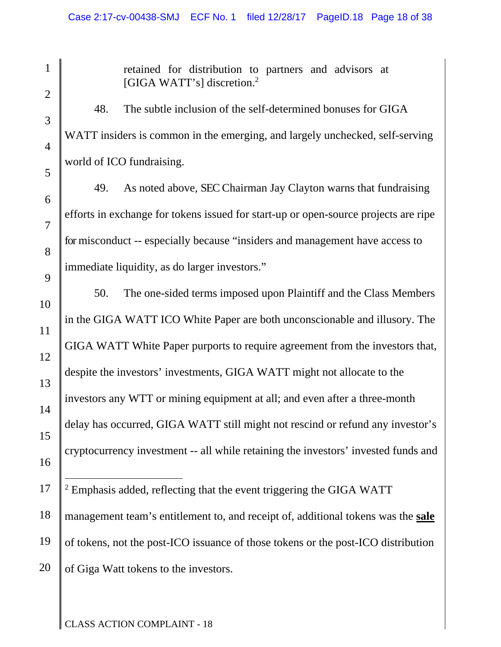1 2 3 4 5 6 7 8 9 10 11 12 13 14 15 16 17 18 19 20 retained for distribution to partners and advisors at [GIGA WATT's] discretion.<sup>2</sup> 48. The subtle inclusion of the self-determined bonuses for GIGA WATT insiders is common in the emerging, and largely unchecked, self-serving world of ICO fundraising. 49. As noted above, SEC Chairman Jay Clayton warns that fundraising efforts in exchange for tokens issued for start-up or open-source projects are ripe for misconduct -- especially because "insiders and management have access to immediate liquidity, as do larger investors." 50. The one-sided terms imposed upon Plaintiff and the Class Members in the GIGA WATT ICO White Paper are both unconscionable and illusory. The GIGA WATT White Paper purports to require agreement from the investors that, despite the investors' investments, GIGA WATT might not allocate to the investors any WTT or mining equipment at all; and even after a three-month delay has occurred, GIGA WATT still might not rescind or refund any investor's cryptocurrency investment -- all while retaining the investors' invested funds and  $\overline{a}$  $2$  Emphasis added, reflecting that the event triggering the GIGA WATT management team's entitlement to, and receipt of, additional tokens was the **sale** of tokens, not the post-ICO issuance of those tokens or the post-ICO distribution of Giga Watt tokens to the investors.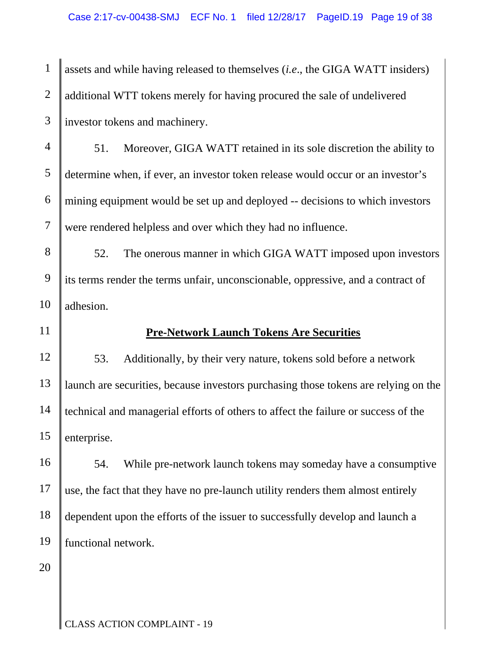1 2 3 assets and while having released to themselves (*i.e*., the GIGA WATT insiders) additional WTT tokens merely for having procured the sale of undelivered investor tokens and machinery.

4 5 6 7 51. Moreover, GIGA WATT retained in its sole discretion the ability to determine when, if ever, an investor token release would occur or an investor's mining equipment would be set up and deployed -- decisions to which investors were rendered helpless and over which they had no influence.

8 9 10 52. The onerous manner in which GIGA WATT imposed upon investors its terms render the terms unfair, unconscionable, oppressive, and a contract of adhesion.

# 11

# **Pre-Network Launch Tokens Are Securities**

12 13 14 15 53. Additionally, by their very nature, tokens sold before a network launch are securities, because investors purchasing those tokens are relying on the technical and managerial efforts of others to affect the failure or success of the enterprise.

16 17 18 19 54. While pre-network launch tokens may someday have a consumptive use, the fact that they have no pre-launch utility renders them almost entirely dependent upon the efforts of the issuer to successfully develop and launch a functional network.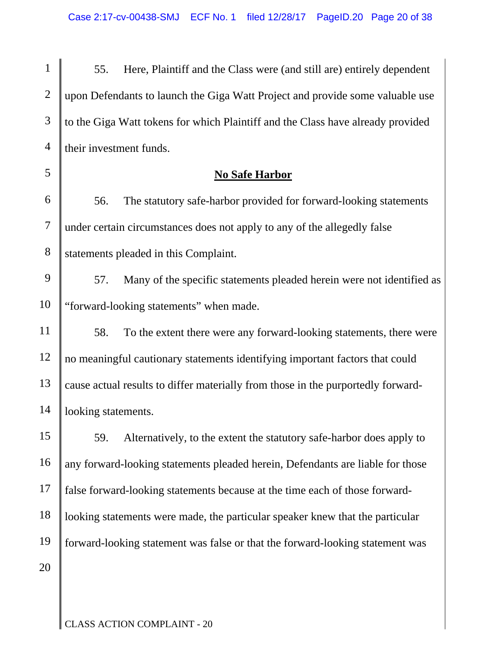| $1 \parallel$<br>55. Here, Plaintiff and the Class were (and still are) entirely dependent    |
|-----------------------------------------------------------------------------------------------|
| 2    upon Defendants to launch the Giga Watt Project and provide some valuable use            |
| $3 \parallel$ to the Giga Watt tokens for which Plaintiff and the Class have already provided |
| 4   their investment funds.                                                                   |

# **No Safe Harbor**

6 7 8 56. The statutory safe-harbor provided for forward-looking statements under certain circumstances does not apply to any of the allegedly false statements pleaded in this Complaint.

- 9 10 57. Many of the specific statements pleaded herein were not identified as "forward-looking statements" when made.
- 11 12 13 14 58. To the extent there were any forward-looking statements, there were no meaningful cautionary statements identifying important factors that could cause actual results to differ materially from those in the purportedly forwardlooking statements.
- 15 16 17 18 19 20 59. Alternatively, to the extent the statutory safe-harbor does apply to any forward-looking statements pleaded herein, Defendants are liable for those false forward-looking statements because at the time each of those forwardlooking statements were made, the particular speaker knew that the particular forward-looking statement was false or that the forward-looking statement was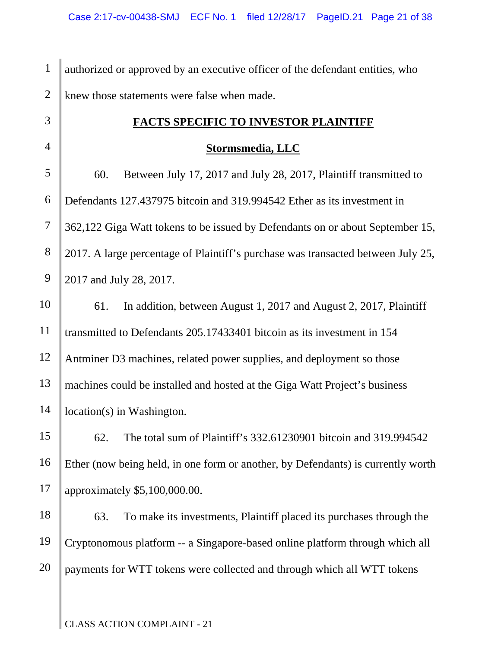| $\mathbf{1}$   | authorized or approved by an executive officer of the defendant entities, who    |
|----------------|----------------------------------------------------------------------------------|
| $\overline{2}$ | knew those statements were false when made.                                      |
| 3              | <b>FACTS SPECIFIC TO INVESTOR PLAINTIFF</b>                                      |
| $\overline{4}$ | <b>Stormsmedia, LLC</b>                                                          |
| 5              | 60.<br>Between July 17, 2017 and July 28, 2017, Plaintiff transmitted to         |
| 6              | Defendants 127.437975 bitcoin and 319.994542 Ether as its investment in          |
| $\tau$         | 362,122 Giga Watt tokens to be issued by Defendants on or about September 15,    |
| $8\,$          | 2017. A large percentage of Plaintiff's purchase was transacted between July 25, |
| 9              | 2017 and July 28, 2017.                                                          |
| 10             | In addition, between August 1, 2017 and August 2, 2017, Plaintiff<br>61.         |
| 11             | transmitted to Defendants 205.17433401 bitcoin as its investment in 154          |
| 12             | Antminer D3 machines, related power supplies, and deployment so those            |
| 13             | machines could be installed and hosted at the Giga Watt Project's business       |
| 14             | location(s) in Washington.                                                       |
| 15             | The total sum of Plaintiff's 332.61230901 bitcoin and 319.994542<br>62.          |
| 16             | Ether (now being held, in one form or another, by Defendants) is currently worth |
| 17             | approximately \$5,100,000.00.                                                    |
| 18             | To make its investments, Plaintiff placed its purchases through the<br>63.       |
| 19             | Cryptonomous platform -- a Singapore-based online platform through which all     |
| 20             | payments for WTT tokens were collected and through which all WTT tokens          |
|                |                                                                                  |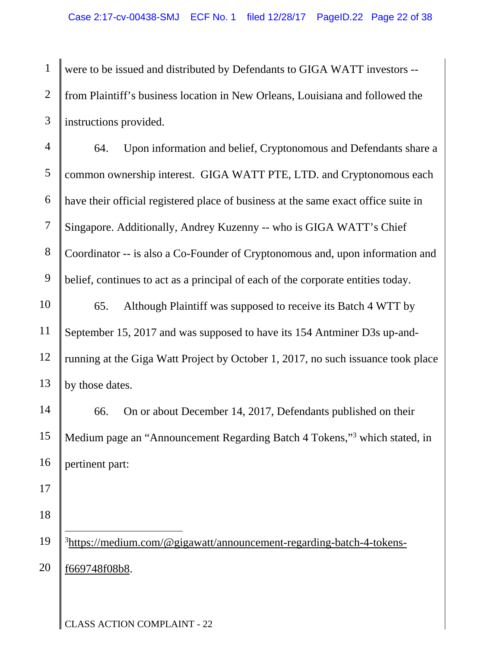1 2 3 were to be issued and distributed by Defendants to GIGA WATT investors - from Plaintiff's business location in New Orleans, Louisiana and followed the instructions provided.

4 5 6 7 8 9 10 64. Upon information and belief, Cryptonomous and Defendants share a common ownership interest. GIGA WATT PTE, LTD. and Cryptonomous each have their official registered place of business at the same exact office suite in Singapore. Additionally, Andrey Kuzenny -- who is GIGA WATT's Chief Coordinator -- is also a Co-Founder of Cryptonomous and, upon information and belief, continues to act as a principal of each of the corporate entities today. 65. Although Plaintiff was supposed to receive its Batch 4 WTT by

11 12 13 September 15, 2017 and was supposed to have its 154 Antminer D3s up-andrunning at the Giga Watt Project by October 1, 2017, no such issuance took place by those dates.

14 15 16 66. On or about December 14, 2017, Defendants published on their Medium page an "Announcement Regarding Batch 4 Tokens,"<sup>3</sup> which stated, in pertinent part:

- 17
- 18

19 20  $\overline{a}$ <sup>3</sup>https://medium.com/@gigawatt/announcement-regarding-batch-4-tokensf669748f08b8.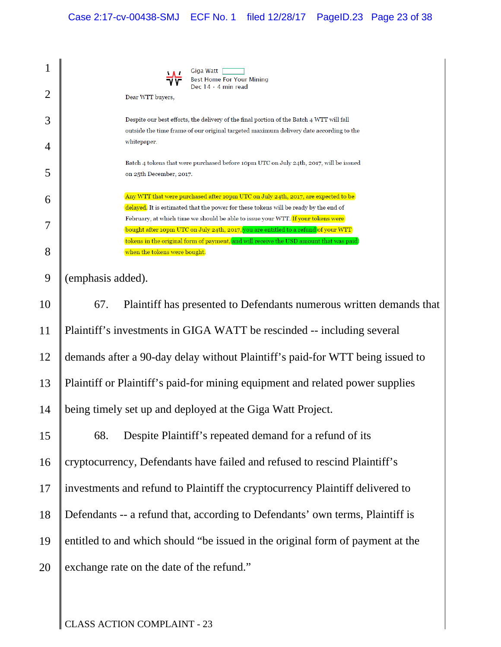| 1              | Giga Watt<br>Best Home For Your Mining                                                                                                                                             |
|----------------|------------------------------------------------------------------------------------------------------------------------------------------------------------------------------------|
| $\overline{2}$ | Dec $14 \cdot 4$ min read<br>Dear WTT buyers,                                                                                                                                      |
| 3              | Despite our best efforts, the delivery of the final portion of the Batch 4 WTT will fall<br>outside the time frame of our original targeted maximum delivery date according to the |
| 4              | whitepaper.                                                                                                                                                                        |
| 5              | Batch 4 tokens that were purchased before 10pm UTC on July 24th, 2017, will be issued<br>on 25th December, 2017.                                                                   |
| 6              | Any WTT that were purchased after 10pm UTC on July 24th, 2017, are expected to be<br>delayed. It is estimated that the power for these tokens will be ready by the end of          |
| 7              | February, at which time we should be able to issue your WTT. If your tokens were<br>bought after 10pm UTC on July 24th, 2017, you are entitled to a refund of your WTT             |
| 8              | tokens in the original form of payment, and will receive the USD amount that was paid<br>when the tokens were bought.                                                              |
| 9              | (emphasis added).                                                                                                                                                                  |
| 10             | Plaintiff has presented to Defendants numerous written demands that<br>67.                                                                                                         |
| 11             | Plaintiff's investments in GIGA WATT be rescinded -- including several                                                                                                             |
| 12             | demands after a 90-day delay without Plaintiff's paid-for WTT being issued to                                                                                                      |
| 13             | Plaintiff or Plaintiff's paid-for mining equipment and related power supplies                                                                                                      |
| 14             | being timely set up and deployed at the Giga Watt Project.                                                                                                                         |
| 15             | Despite Plaintiff's repeated demand for a refund of its<br>68.                                                                                                                     |
| 16             | cryptocurrency, Defendants have failed and refused to rescind Plaintiff's                                                                                                          |
| 17             | investments and refund to Plaintiff the cryptocurrency Plaintiff delivered to                                                                                                      |
| 18             | Defendants -- a refund that, according to Defendants' own terms, Plaintiff is                                                                                                      |
| 19             | entitled to and which should "be issued in the original form of payment at the                                                                                                     |
| 20             | exchange rate on the date of the refund."                                                                                                                                          |
|                |                                                                                                                                                                                    |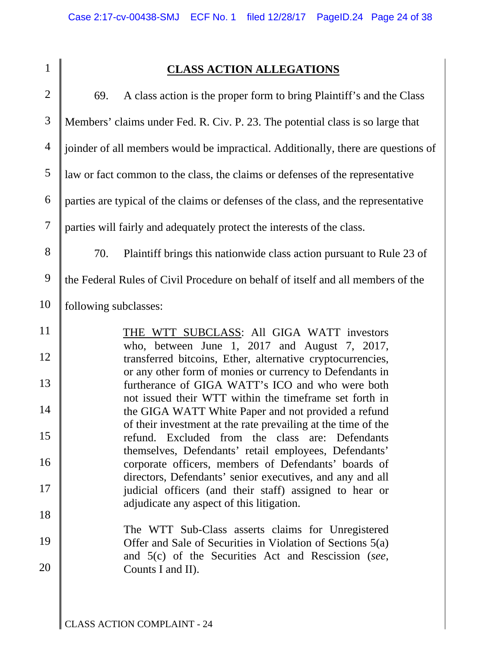# **CLASS ACTION ALLEGATIONS**

| $\overline{2}$ | A class action is the proper form to bring Plaintiff's and the Class<br>69.                                            |
|----------------|------------------------------------------------------------------------------------------------------------------------|
| 3              | Members' claims under Fed. R. Civ. P. 23. The potential class is so large that                                         |
| $\overline{4}$ | joinder of all members would be impractical. Additionally, there are questions of                                      |
| 5              | law or fact common to the class, the claims or defenses of the representative                                          |
| 6              | parties are typical of the claims or defenses of the class, and the representative                                     |
| $\tau$         | parties will fairly and adequately protect the interests of the class.                                                 |
| 8              | Plaintiff brings this nationwide class action pursuant to Rule 23 of<br>70.                                            |
| 9              | the Federal Rules of Civil Procedure on behalf of itself and all members of the                                        |
| 10             | following subclasses:                                                                                                  |
| 11             | THE WTT SUBCLASS: All GIGA WATT investors<br>who, between June 1, $2017$ and August 7, $2017$ ,                        |
| 12             | transferred bitcoins, Ether, alternative cryptocurrencies,<br>or any other form of monies or currency to Defendants in |
| 13             | furtherance of GIGA WATT's ICO and who were both<br>not issued their WTT within the timeframe set forth in             |
| 14             | the GIGA WATT White Paper and not provided a refund<br>of their investment at the rate prevailing at the time of the   |
| 15             | refund. Excluded from the class are: Defendants<br>themselves, Defendants' retail employees, Defendants'               |
| 16             | corporate officers, members of Defendants' boards of<br>directors, Defendants' senior executives, and any and all      |
| 17             | judicial officers (and their staff) assigned to hear or<br>adjudicate any aspect of this litigation.                   |
| 18             | The WTT Sub-Class asserts claims for Unregistered                                                                      |
| 19             | Offer and Sale of Securities in Violation of Sections 5(a)<br>and 5(c) of the Securities Act and Rescission (see,      |
| 20             | Counts I and II).                                                                                                      |
|                |                                                                                                                        |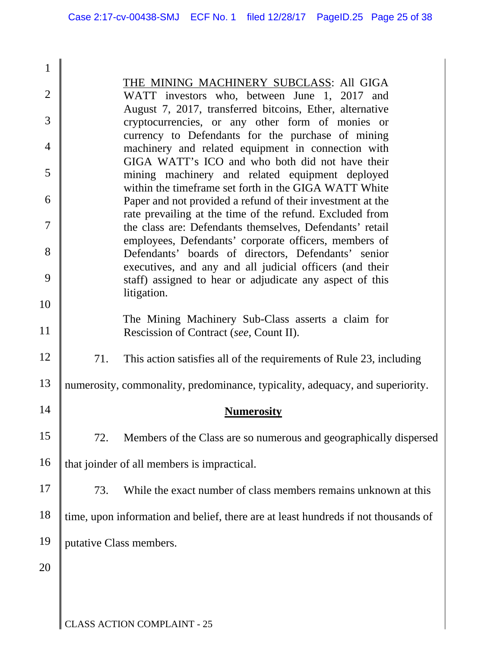| $\mathbf{1}$   |                                                                                                                                                             |
|----------------|-------------------------------------------------------------------------------------------------------------------------------------------------------------|
| $\overline{2}$ | THE MINING MACHINERY SUBCLASS: All GIGA<br>WATT investors who, between June 1, 2017 and                                                                     |
|                | August 7, 2017, transferred bitcoins, Ether, alternative                                                                                                    |
| 3              | cryptocurrencies, or any other form of monies or<br>currency to Defendants for the purchase of mining                                                       |
| $\overline{4}$ | machinery and related equipment in connection with                                                                                                          |
| 5              | GIGA WATT's ICO and who both did not have their<br>mining machinery and related equipment deployed<br>within the timeframe set forth in the GIGA WATT White |
| 6              | Paper and not provided a refund of their investment at the                                                                                                  |
| 7              | rate prevailing at the time of the refund. Excluded from                                                                                                    |
|                | the class are: Defendants themselves, Defendants' retail<br>employees, Defendants' corporate officers, members of                                           |
| 8              | Defendants' boards of directors, Defendants' senior                                                                                                         |
| 9              | executives, and any and all judicial officers (and their<br>staff) assigned to hear or adjudicate any aspect of this                                        |
| 10             | litigation.                                                                                                                                                 |
| 11             | The Mining Machinery Sub-Class asserts a claim for<br>Rescission of Contract (see, Count II).                                                               |
| 12             | 71.<br>This action satisfies all of the requirements of Rule 23, including                                                                                  |
| 13             | numerosity, commonality, predominance, typicality, adequacy, and superiority.                                                                               |
| 14             | <b>Numerosity</b>                                                                                                                                           |
| 15             | 72.<br>Members of the Class are so numerous and geographically dispersed                                                                                    |
| 16             | that joinder of all members is impractical.                                                                                                                 |
| 17             | While the exact number of class members remains unknown at this<br>73.                                                                                      |
| 18             | time, upon information and belief, there are at least hundreds if not thousands of                                                                          |
| 19             | putative Class members.                                                                                                                                     |
| 20             |                                                                                                                                                             |
|                |                                                                                                                                                             |
|                |                                                                                                                                                             |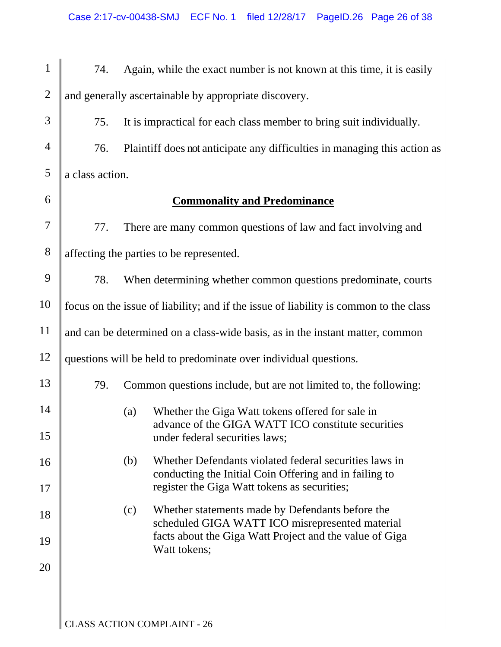| $\mathbf{1}$   | 74.                                                                                   |     | Again, while the exact number is not known at this time, it is easily                                            |  |
|----------------|---------------------------------------------------------------------------------------|-----|------------------------------------------------------------------------------------------------------------------|--|
| $\overline{2}$ | and generally ascertainable by appropriate discovery.                                 |     |                                                                                                                  |  |
| 3              | 75.                                                                                   |     | It is impractical for each class member to bring suit individually.                                              |  |
| $\overline{4}$ | 76.                                                                                   |     | Plaintiff does not anticipate any difficulties in managing this action as                                        |  |
| 5              | a class action.                                                                       |     |                                                                                                                  |  |
| 6              |                                                                                       |     | <b>Commonality and Predominance</b>                                                                              |  |
| 7              | 77.                                                                                   |     | There are many common questions of law and fact involving and                                                    |  |
| $8\,$          | affecting the parties to be represented.                                              |     |                                                                                                                  |  |
| 9              | 78.                                                                                   |     | When determining whether common questions predominate, courts                                                    |  |
| 10             | focus on the issue of liability; and if the issue of liability is common to the class |     |                                                                                                                  |  |
| 11             | and can be determined on a class-wide basis, as in the instant matter, common         |     |                                                                                                                  |  |
| 12             |                                                                                       |     | questions will be held to predominate over individual questions.                                                 |  |
| 13             | 79.                                                                                   |     | Common questions include, but are not limited to, the following:                                                 |  |
| 14             |                                                                                       | (a) | Whether the Giga Watt tokens offered for sale in                                                                 |  |
| 15             |                                                                                       |     | advance of the GIGA WATT ICO constitute securities<br>under federal securities laws;                             |  |
| 16             |                                                                                       | (b) | Whether Defendants violated federal securities laws in<br>conducting the Initial Coin Offering and in failing to |  |
| 17             |                                                                                       |     | register the Giga Watt tokens as securities;                                                                     |  |
| 18             |                                                                                       | (c) | Whether statements made by Defendants before the<br>scheduled GIGA WATT ICO misrepresented material              |  |
| 19             |                                                                                       |     | facts about the Giga Watt Project and the value of Giga<br>Watt tokens;                                          |  |
| 20             |                                                                                       |     |                                                                                                                  |  |
|                |                                                                                       |     |                                                                                                                  |  |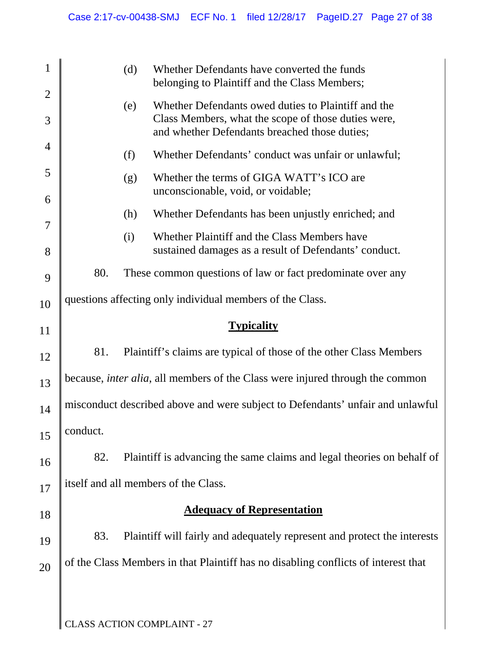| $\mathbf{1}$   |          | (d) | Whether Defendants have converted the funds                                                                                                                 |
|----------------|----------|-----|-------------------------------------------------------------------------------------------------------------------------------------------------------------|
| $\overline{2}$ |          |     | belonging to Plaintiff and the Class Members;                                                                                                               |
| 3              |          | (e) | Whether Defendants owed duties to Plaintiff and the<br>Class Members, what the scope of those duties were,<br>and whether Defendants breached those duties; |
| 4              |          | (f) | Whether Defendants' conduct was unfair or unlawful;                                                                                                         |
| 5              |          | (g) | Whether the terms of GIGA WATT's ICO are<br>unconscionable, void, or voidable;                                                                              |
| 6              |          | (h) | Whether Defendants has been unjustly enriched; and                                                                                                          |
| 7              |          | (i) | Whether Plaintiff and the Class Members have                                                                                                                |
| 8              |          |     | sustained damages as a result of Defendants' conduct.                                                                                                       |
| 9              | 80.      |     | These common questions of law or fact predominate over any                                                                                                  |
| 10             |          |     | questions affecting only individual members of the Class.                                                                                                   |
| 11             |          |     | <b>Typicality</b>                                                                                                                                           |
| 12             | 81.      |     | Plaintiff's claims are typical of those of the other Class Members                                                                                          |
| 13             |          |     | because, <i>inter alia</i> , all members of the Class were injured through the common                                                                       |
| 14             |          |     | misconduct described above and were subject to Defendants' unfair and unlawful                                                                              |
| 15             | conduct. |     |                                                                                                                                                             |
| 16             | 82.      |     | Plaintiff is advancing the same claims and legal theories on behalf of                                                                                      |
| 17             |          |     | itself and all members of the Class.                                                                                                                        |
| 18             |          |     | <b>Adequacy of Representation</b>                                                                                                                           |
| 19             | 83.      |     | Plaintiff will fairly and adequately represent and protect the interests                                                                                    |
| 20             |          |     | of the Class Members in that Plaintiff has no disabling conflicts of interest that                                                                          |
|                |          |     |                                                                                                                                                             |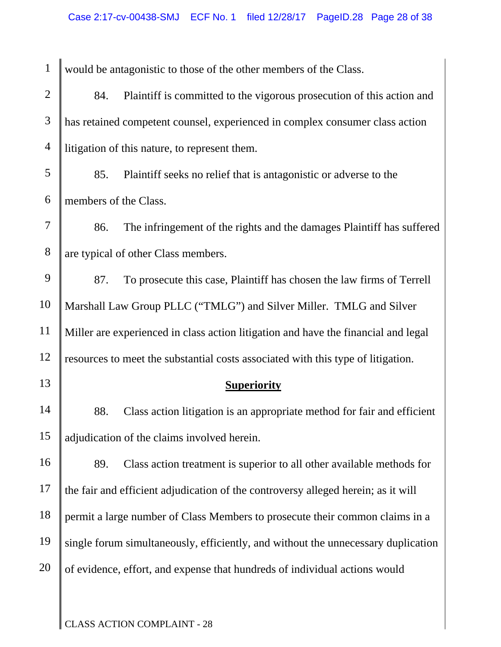| $\mathbf{1}$   |                       | would be antagonistic to those of the other members of the Class.                  |
|----------------|-----------------------|------------------------------------------------------------------------------------|
| $\mathbf{2}$   | 84.                   | Plaintiff is committed to the vigorous prosecution of this action and              |
| 3              |                       | has retained competent counsel, experienced in complex consumer class action       |
| $\overline{4}$ |                       | litigation of this nature, to represent them.                                      |
| $\mathfrak{S}$ | 85.                   | Plaintiff seeks no relief that is antagonistic or adverse to the                   |
| 6              | members of the Class. |                                                                                    |
| $\tau$         | 86.                   | The infringement of the rights and the damages Plaintiff has suffered              |
| $8\,$          |                       | are typical of other Class members.                                                |
| 9              | 87.                   | To prosecute this case, Plaintiff has chosen the law firms of Terrell              |
| 10             |                       | Marshall Law Group PLLC ("TMLG") and Silver Miller. TMLG and Silver                |
| 11             |                       | Miller are experienced in class action litigation and have the financial and legal |
| 12             |                       | resources to meet the substantial costs associated with this type of litigation.   |
| 13             |                       | <b>Superiority</b>                                                                 |
| 14             | 88.                   | Class action litigation is an appropriate method for fair and efficient            |
| 15             |                       | adjudication of the claims involved herein.                                        |
| 16             | 89.                   | Class action treatment is superior to all other available methods for              |
| 17             |                       | the fair and efficient adjudication of the controversy alleged herein; as it will  |
| 18             |                       | permit a large number of Class Members to prosecute their common claims in a       |
| 19             |                       | single forum simultaneously, efficiently, and without the unnecessary duplication  |
| 20             |                       | of evidence, effort, and expense that hundreds of individual actions would         |
|                |                       |                                                                                    |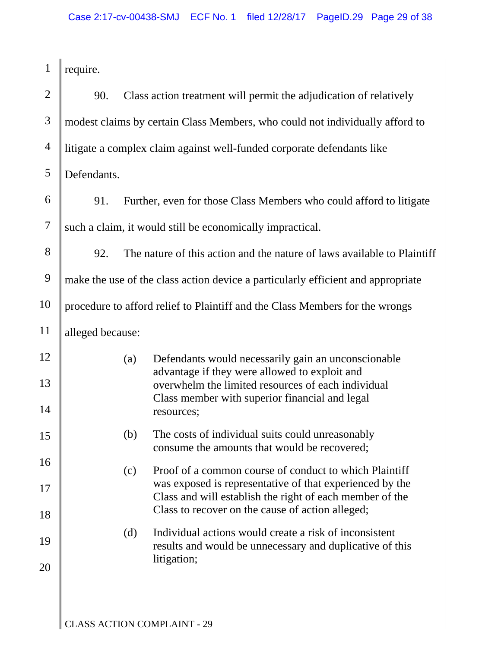| $\mathbf{1}$   | require.                                                                         |     |                                                                                                                      |  |
|----------------|----------------------------------------------------------------------------------|-----|----------------------------------------------------------------------------------------------------------------------|--|
| $\overline{2}$ | 90.                                                                              |     | Class action treatment will permit the adjudication of relatively                                                    |  |
| 3              | modest claims by certain Class Members, who could not individually afford to     |     |                                                                                                                      |  |
| $\overline{4}$ |                                                                                  |     | litigate a complex claim against well-funded corporate defendants like                                               |  |
| 5              | Defendants.                                                                      |     |                                                                                                                      |  |
| 6              | 91.                                                                              |     | Further, even for those Class Members who could afford to litigate                                                   |  |
| $\tau$         | such a claim, it would still be economically impractical.                        |     |                                                                                                                      |  |
| 8              | 92.                                                                              |     | The nature of this action and the nature of laws available to Plaintiff                                              |  |
| 9              | make the use of the class action device a particularly efficient and appropriate |     |                                                                                                                      |  |
| 10             |                                                                                  |     | procedure to afford relief to Plaintiff and the Class Members for the wrongs                                         |  |
| 11             | alleged because:                                                                 |     |                                                                                                                      |  |
| 12             |                                                                                  | (a) | Defendants would necessarily gain an unconscionable<br>advantage if they were allowed to exploit and                 |  |
| 13             |                                                                                  |     | overwhelm the limited resources of each individual<br>Class member with superior financial and legal                 |  |
| 14             |                                                                                  |     | resources;                                                                                                           |  |
| 15             |                                                                                  | (b) | The costs of individual suits could unreasonably<br>consume the amounts that would be recovered;                     |  |
| 16             |                                                                                  | (c) | Proof of a common course of conduct to which Plaintiff                                                               |  |
| 17             |                                                                                  |     | was exposed is representative of that experienced by the<br>Class and will establish the right of each member of the |  |
| 18             |                                                                                  |     | Class to recover on the cause of action alleged;                                                                     |  |
| 19             |                                                                                  | (d) | Individual actions would create a risk of inconsistent<br>results and would be unnecessary and duplicative of this   |  |
| 20             |                                                                                  |     | litigation;                                                                                                          |  |
|                |                                                                                  |     |                                                                                                                      |  |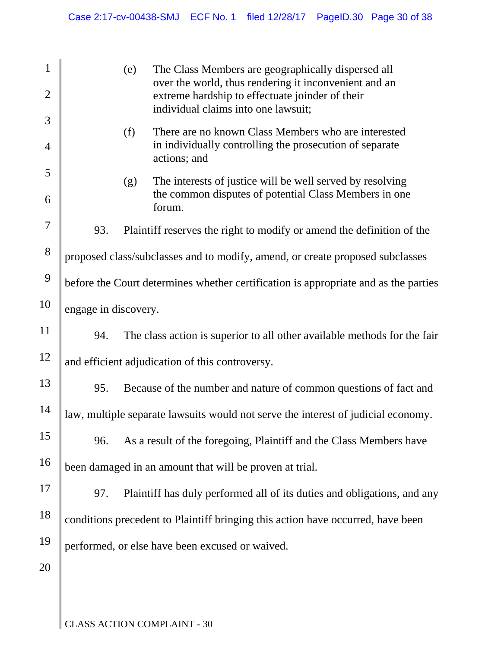| $\mathbf{1}$   |                      | (e) | The Class Members are geographically dispersed all                                                                                              |
|----------------|----------------------|-----|-------------------------------------------------------------------------------------------------------------------------------------------------|
| $\overline{2}$ |                      |     | over the world, thus rendering it inconvenient and an<br>extreme hardship to effectuate joinder of their<br>individual claims into one lawsuit; |
| 3              |                      | (f) | There are no known Class Members who are interested                                                                                             |
| $\overline{4}$ |                      |     | in individually controlling the prosecution of separate<br>actions; and                                                                         |
| 5              |                      | (g) | The interests of justice will be well served by resolving                                                                                       |
| 6              |                      |     | the common disputes of potential Class Members in one<br>forum.                                                                                 |
| 7              | 93.                  |     | Plaintiff reserves the right to modify or amend the definition of the                                                                           |
| 8              |                      |     | proposed class/subclasses and to modify, amend, or create proposed subclasses                                                                   |
| 9              |                      |     | before the Court determines whether certification is appropriate and as the parties                                                             |
| 10             | engage in discovery. |     |                                                                                                                                                 |
| 11             | 94.                  |     | The class action is superior to all other available methods for the fair                                                                        |
| 12             |                      |     | and efficient adjudication of this controversy.                                                                                                 |
| 13             | 95.                  |     | Because of the number and nature of common questions of fact and                                                                                |
| 14             |                      |     | law, multiple separate lawsuits would not serve the interest of judicial economy.                                                               |
| 15             | 96.                  |     | As a result of the foregoing, Plaintiff and the Class Members have                                                                              |
| 16             |                      |     | been damaged in an amount that will be proven at trial.                                                                                         |
| 17             | 97.                  |     | Plaintiff has duly performed all of its duties and obligations, and any                                                                         |
| 18             |                      |     | conditions precedent to Plaintiff bringing this action have occurred, have been                                                                 |
| 19             |                      |     | performed, or else have been excused or waived.                                                                                                 |
| 20             |                      |     |                                                                                                                                                 |
|                |                      |     |                                                                                                                                                 |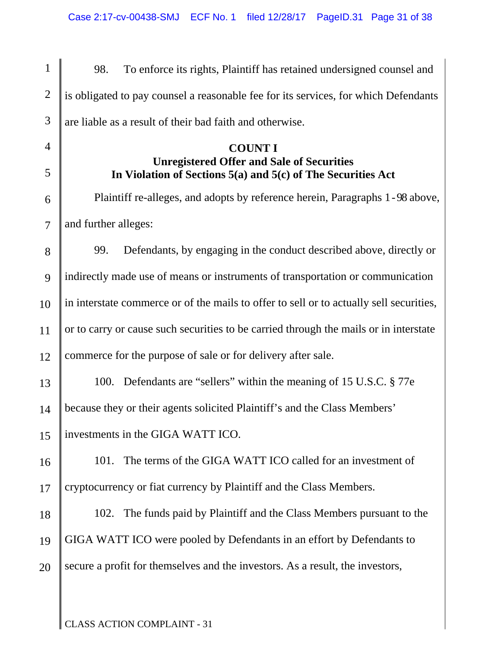1 2 3 4 5 6 7 8 9 10 11 12 13 14 15 16 17 18 19 20 98. To enforce its rights, Plaintiff has retained undersigned counsel and is obligated to pay counsel a reasonable fee for its services, for which Defendants are liable as a result of their bad faith and otherwise. **COUNT I Unregistered Offer and Sale of Securities In Violation of Sections 5(a) and 5(c) of The Securities Act**  Plaintiff re-alleges, and adopts by reference herein, Paragraphs 1 - 98 above, and further alleges: 99. Defendants, by engaging in the conduct described above, directly or indirectly made use of means or instruments of transportation or communication in interstate commerce or of the mails to offer to sell or to actually sell securities, or to carry or cause such securities to be carried through the mails or in interstate commerce for the purpose of sale or for delivery after sale. 100. Defendants are "sellers" within the meaning of 15 U.S.C. § 77e because they or their agents solicited Plaintiff's and the Class Members' investments in the GIGA WATT ICO. 101. The terms of the GIGA WATT ICO called for an investment of cryptocurrency or fiat currency by Plaintiff and the Class Members. 102. The funds paid by Plaintiff and the Class Members pursuant to the GIGA WATT ICO were pooled by Defendants in an effort by Defendants to secure a profit for themselves and the investors. As a result, the investors,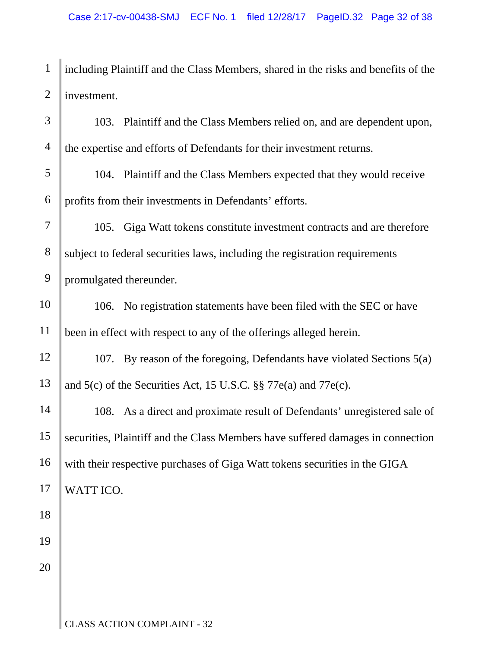1 2 including Plaintiff and the Class Members, shared in the risks and benefits of the investment.

3 4 5 6 7 8 9 10 11 12 13 14 15 16 17 18 19 20 103. Plaintiff and the Class Members relied on, and are dependent upon, the expertise and efforts of Defendants for their investment returns. 104. Plaintiff and the Class Members expected that they would receive profits from their investments in Defendants' efforts. 105. Giga Watt tokens constitute investment contracts and are therefore subject to federal securities laws, including the registration requirements promulgated thereunder. 106. No registration statements have been filed with the SEC or have been in effect with respect to any of the offerings alleged herein. 107. By reason of the foregoing, Defendants have violated Sections 5(a) and 5(c) of the Securities Act, 15 U.S.C. §§ 77e(a) and 77e(c). 108. As a direct and proximate result of Defendants' unregistered sale of securities, Plaintiff and the Class Members have suffered damages in connection with their respective purchases of Giga Watt tokens securities in the GIGA WATT ICO.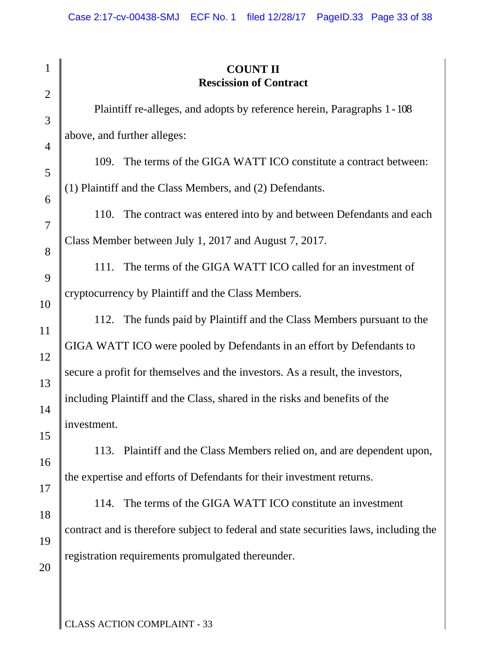| $\mathbf{1}$        | <b>COUNT II</b><br><b>Rescission of Contract</b>                                                                                                |  |  |  |  |  |
|---------------------|-------------------------------------------------------------------------------------------------------------------------------------------------|--|--|--|--|--|
| $\overline{2}$<br>3 | Plaintiff re-alleges, and adopts by reference herein, Paragraphs 1 - 108                                                                        |  |  |  |  |  |
| $\overline{4}$      | above, and further alleges:                                                                                                                     |  |  |  |  |  |
| 5                   | 109. The terms of the GIGA WATT ICO constitute a contract between:                                                                              |  |  |  |  |  |
| 6                   | (1) Plaintiff and the Class Members, and (2) Defendants.                                                                                        |  |  |  |  |  |
| $\overline{7}$      | 110. The contract was entered into by and between Defendants and each                                                                           |  |  |  |  |  |
| 8                   | Class Member between July 1, 2017 and August 7, 2017.                                                                                           |  |  |  |  |  |
| 9                   | The terms of the GIGA WATT ICO called for an investment of<br>111.                                                                              |  |  |  |  |  |
| 10                  | cryptocurrency by Plaintiff and the Class Members.                                                                                              |  |  |  |  |  |
| 11                  | 112. The funds paid by Plaintiff and the Class Members pursuant to the<br>GIGA WATT ICO were pooled by Defendants in an effort by Defendants to |  |  |  |  |  |
| 12                  | secure a profit for themselves and the investors. As a result, the investors,                                                                   |  |  |  |  |  |
| 13                  | including Plaintiff and the Class, shared in the risks and benefits of the                                                                      |  |  |  |  |  |
| 14                  | investment.                                                                                                                                     |  |  |  |  |  |
| 15                  | 113. Plaintiff and the Class Members relied on, and are dependent upon,                                                                         |  |  |  |  |  |
| 16                  | the expertise and efforts of Defendants for their investment returns.                                                                           |  |  |  |  |  |
| 17<br>18            | 114. The terms of the GIGA WATT ICO constitute an investment                                                                                    |  |  |  |  |  |
| 19                  | contract and is therefore subject to federal and state securities laws, including the                                                           |  |  |  |  |  |
| 20                  | registration requirements promulgated thereunder.                                                                                               |  |  |  |  |  |
|                     |                                                                                                                                                 |  |  |  |  |  |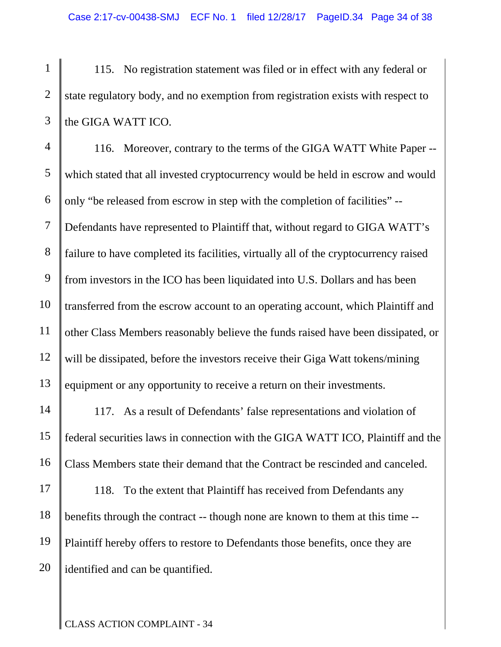1 2 3 115. No registration statement was filed or in effect with any federal or state regulatory body, and no exemption from registration exists with respect to the GIGA WATT ICO.

4 5 6 7 8 9 10 11 12 13 14 15 16 17 116. Moreover, contrary to the terms of the GIGA WATT White Paper - which stated that all invested cryptocurrency would be held in escrow and would only "be released from escrow in step with the completion of facilities" -- Defendants have represented to Plaintiff that, without regard to GIGA WATT's failure to have completed its facilities, virtually all of the cryptocurrency raised from investors in the ICO has been liquidated into U.S. Dollars and has been transferred from the escrow account to an operating account, which Plaintiff and other Class Members reasonably believe the funds raised have been dissipated, or will be dissipated, before the investors receive their Giga Watt tokens/mining equipment or any opportunity to receive a return on their investments. 117. As a result of Defendants' false representations and violation of federal securities laws in connection with the GIGA WATT ICO, Plaintiff and the Class Members state their demand that the Contract be rescinded and canceled. 118. To the extent that Plaintiff has received from Defendants any

18 19 20 benefits through the contract -- though none are known to them at this time -- Plaintiff hereby offers to restore to Defendants those benefits, once they are identified and can be quantified.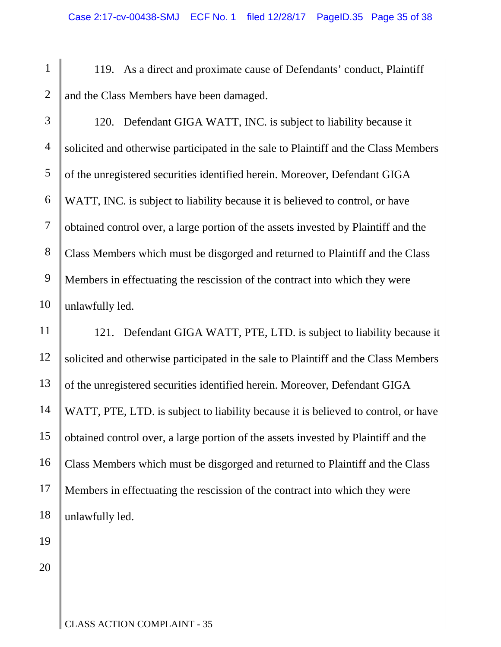1 2 119. As a direct and proximate cause of Defendants' conduct, Plaintiff and the Class Members have been damaged.

3 4 5 6 7 8 9 10 120. Defendant GIGA WATT, INC. is subject to liability because it solicited and otherwise participated in the sale to Plaintiff and the Class Members of the unregistered securities identified herein. Moreover, Defendant GIGA WATT, INC. is subject to liability because it is believed to control, or have obtained control over, a large portion of the assets invested by Plaintiff and the Class Members which must be disgorged and returned to Plaintiff and the Class Members in effectuating the rescission of the contract into which they were unlawfully led.

11 12 13 14 15 16 17 18 121. Defendant GIGA WATT, PTE, LTD. is subject to liability because it solicited and otherwise participated in the sale to Plaintiff and the Class Members of the unregistered securities identified herein. Moreover, Defendant GIGA WATT, PTE, LTD. is subject to liability because it is believed to control, or have obtained control over, a large portion of the assets invested by Plaintiff and the Class Members which must be disgorged and returned to Plaintiff and the Class Members in effectuating the rescission of the contract into which they were unlawfully led.

20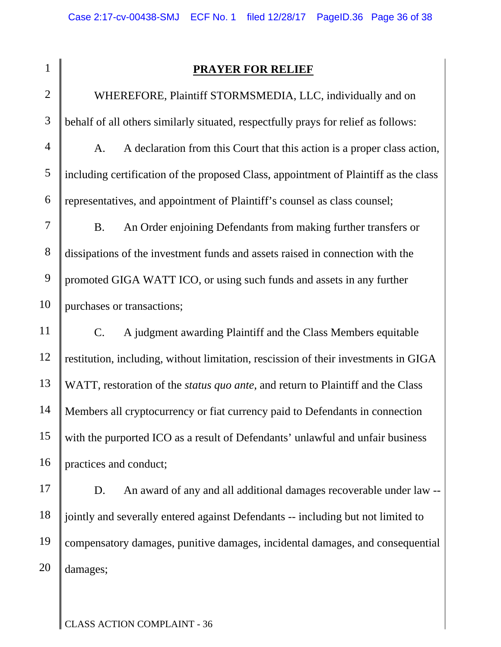| ľ<br>ı |  |
|--------|--|
|        |  |

# **PRAYER FOR RELIEF**

2 3 4 5 6 7 8 9 10 11 12 13 14 15 16 WHEREFORE, Plaintiff STORMSMEDIA, LLC, individually and on behalf of all others similarly situated, respectfully prays for relief as follows: A. A declaration from this Court that this action is a proper class action, including certification of the proposed Class, appointment of Plaintiff as the class representatives, and appointment of Plaintiff's counsel as class counsel; B. An Order enjoining Defendants from making further transfers or dissipations of the investment funds and assets raised in connection with the promoted GIGA WATT ICO, or using such funds and assets in any further purchases or transactions; C. A judgment awarding Plaintiff and the Class Members equitable restitution, including, without limitation, rescission of their investments in GIGA WATT, restoration of the *status quo ante*, and return to Plaintiff and the Class Members all cryptocurrency or fiat currency paid to Defendants in connection with the purported ICO as a result of Defendants' unlawful and unfair business practices and conduct;

17 18 19 20 D. An award of any and all additional damages recoverable under law - jointly and severally entered against Defendants -- including but not limited to compensatory damages, punitive damages, incidental damages, and consequential damages;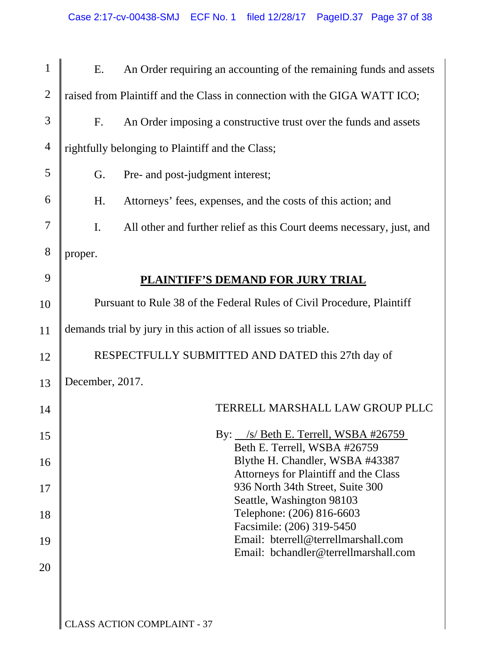| $\mathbf{1}$   | Ε.                                                                     | An Order requiring an accounting of the remaining funds and assets            |  |  |
|----------------|------------------------------------------------------------------------|-------------------------------------------------------------------------------|--|--|
| $\overline{2}$ |                                                                        | raised from Plaintiff and the Class in connection with the GIGA WATT ICO;     |  |  |
| 3              | $F_{\cdot}$                                                            | An Order imposing a constructive trust over the funds and assets              |  |  |
| $\overline{4}$ |                                                                        | rightfully belonging to Plaintiff and the Class;                              |  |  |
| 5              | G.                                                                     | Pre- and post-judgment interest;                                              |  |  |
| 6              | H.                                                                     | Attorneys' fees, expenses, and the costs of this action; and                  |  |  |
| 7              | I.                                                                     | All other and further relief as this Court deems necessary, just, and         |  |  |
| 8              | proper.                                                                |                                                                               |  |  |
| 9              |                                                                        | PLAINTIFF'S DEMAND FOR JURY TRIAL                                             |  |  |
| 10             | Pursuant to Rule 38 of the Federal Rules of Civil Procedure, Plaintiff |                                                                               |  |  |
| 11             | demands trial by jury in this action of all issues so triable.         |                                                                               |  |  |
| 12             |                                                                        | RESPECTFULLY SUBMITTED AND DATED this 27th day of                             |  |  |
| 13             | December, 2017.                                                        |                                                                               |  |  |
| 14             |                                                                        | TERRELL MARSHALL LAW GROUP PLLC                                               |  |  |
| 15             |                                                                        | By: $\angle$ /s/ Beth E. Terrell, WSBA #26759<br>Beth E. Terrell, WSBA #26759 |  |  |
| 16             |                                                                        | Blythe H. Chandler, WSBA #43387                                               |  |  |
| 17             |                                                                        | Attorneys for Plaintiff and the Class<br>936 North 34th Street, Suite 300     |  |  |
| 18             |                                                                        | Seattle, Washington 98103<br>Telephone: (206) 816-6603                        |  |  |
| 19             |                                                                        | Facsimile: (206) 319-5450<br>Email: bterrell@terrellmarshall.com              |  |  |
| 20             |                                                                        | Email: bchandler@terrellmarshall.com                                          |  |  |
|                |                                                                        |                                                                               |  |  |